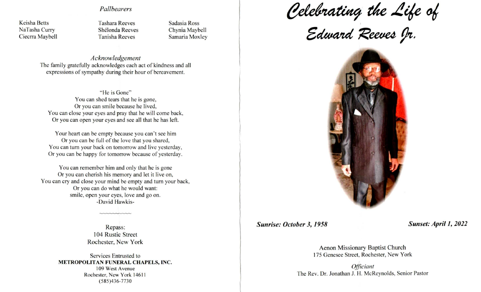## Pallbearers

Keisha Betts NaTasha Curry Ciecrra Maybell Tashara Reeves Shelonda Reeves Tanisha Reeves

Sadasia Ross Chynia Maybell Samaria Moxley

Acknowledgement The family gratefully acknowledges each act of kindness and all expressions of sympathy during their hour of bereavement.

"He is Gone" You can shed tears that he is gone, Or you can smile because he lived, You can close your eyes and pray that he will come back, Or you can open your eyes and see all that he has left.

Your heart can be empty because you can't see him Or you can be full of the love that you shared, You can turn your back on tomorrow and live yesterday, Or you can be happy for tomorrow because of yesterday.

You can remember him and only that he is gone Or you can cherish his memory and let it live on, You can cry and close your mind be empty and turn your back, Or you can do what he would want: smile, open your eyes, love and go on. -David Hawkis-

> Repass: 104 Rustic Street Rochester, New York

Services Entrusted to METROPOLITAN FUNERAL CHAPELS, INC. 109 West Avenue Rochester, New York 14611 (585)436-7730

Celebrating the Life of

Edward Reeves Jr.



Sunrise: October 3, 1958 Sunset: April 1, 2022

Aenon Missionary Baptist Church 175 Genesee Street, Rochester, New York

**Officiant** The Rev. Dr. Jonathan J. H. McReynolds, Senior Pastor